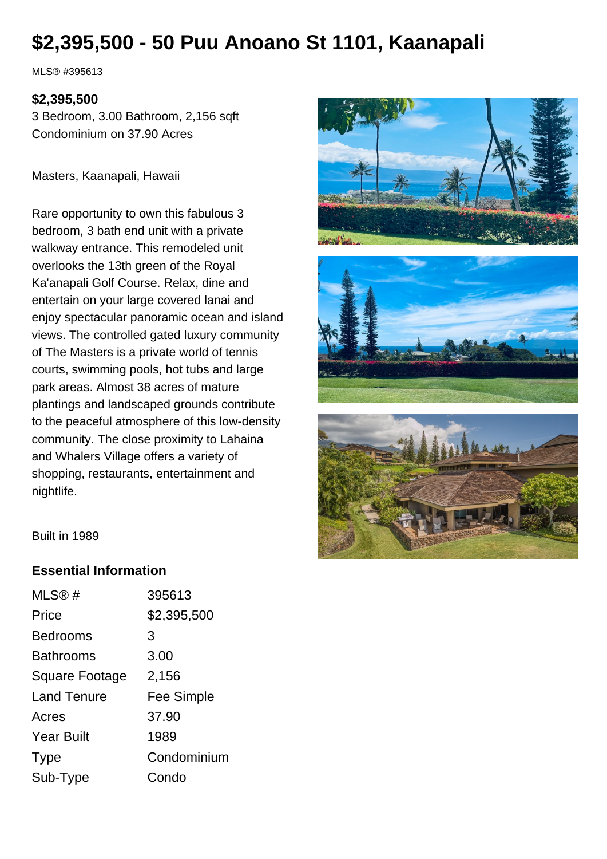# **\$2,395,500 - 50 Puu Anoano St 1101, Kaanapali**

MLS® #395613

#### **\$2,395,500**

3 Bedroom, 3.00 Bathroom, 2,156 sqft Condominium on 37.90 Acres

Masters, Kaanapali, Hawaii

Rare opportunity to own this fabulous 3 bedroom, 3 bath end unit with a private walkway entrance. This remodeled unit overlooks the 13th green of the Royal Ka'anapali Golf Course. Relax, dine and entertain on your large covered lanai and enjoy spectacular panoramic ocean and island views. The controlled gated luxury community of The Masters is a private world of tennis courts, swimming pools, hot tubs and large park areas. Almost 38 acres of mature plantings and landscaped grounds contribute to the peaceful atmosphere of this low-density community. The close proximity to Lahaina and Whalers Village offers a variety of shopping, restaurants, entertainment and nightlife.







Built in 1989

#### **Essential Information**

| MLS®#              | 395613            |
|--------------------|-------------------|
| Price              | \$2,395,500       |
| <b>Bedrooms</b>    | 3                 |
| <b>Bathrooms</b>   | 3.00              |
| Square Footage     | 2,156             |
| <b>Land Tenure</b> | <b>Fee Simple</b> |
| Acres              | 37.90             |
| <b>Year Built</b>  | 1989              |
| <b>Type</b>        | Condominium       |
| Sub-Type           | Condo             |